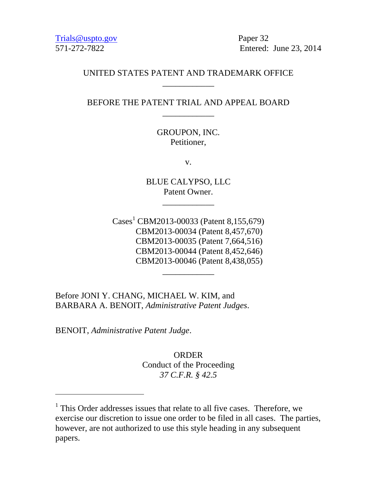Trials @uspto.gov Paper 32

571-272-7822 Entered: June 23, 2014

### UNITED STATES PATENT AND TRADEMARK OFFICE \_\_\_\_\_\_\_\_\_\_\_\_

BEFORE THE PATENT TRIAL AND APPEAL BOARD \_\_\_\_\_\_\_\_\_\_\_\_

> GROUPON, INC. Petitioner,

> > v.

BLUE CALYPSO, LLC Patent Owner.

\_\_\_\_\_\_\_\_\_\_\_\_

 $\text{Case}^1$  CBM2013-00033 (Patent 8,155,679) CBM2013-00034 (Patent 8,457,670) CBM2013-00035 (Patent 7,664,516) CBM2013-00044 (Patent 8,452,646) CBM2013-00046 (Patent 8,438,055)

\_\_\_\_\_\_\_\_\_\_\_\_

Before JONI Y. CHANG, MICHAEL W. KIM, and BARBARA A. BENOIT, *Administrative Patent Judges*.

BENOIT, *Administrative Patent Judge*.

 $\overline{a}$ 

ORDER Conduct of the Proceeding *37 C.F.R. § 42.5*

<sup>&</sup>lt;sup>1</sup> This Order addresses issues that relate to all five cases. Therefore, we exercise our discretion to issue one order to be filed in all cases. The parties, however, are not authorized to use this style heading in any subsequent papers.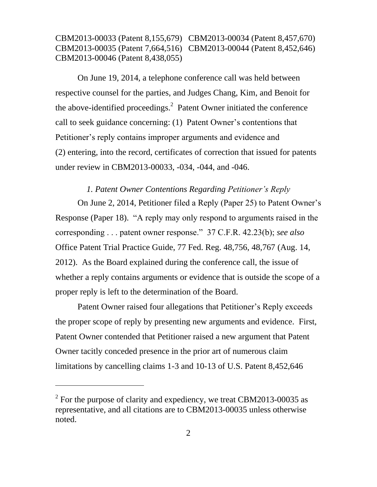On June 19, 2014, a telephone conference call was held between respective counsel for the parties, and Judges Chang, Kim, and Benoit for the above-identified proceedings.<sup>2</sup> Patent Owner initiated the conference call to seek guidance concerning: (1) Patent Owner's contentions that Petitioner's reply contains improper arguments and evidence and (2) entering, into the record, certificates of correction that issued for patents under review in CBM2013-00033, -034, -044, and -046.

### *1. Patent Owner Contentions Regarding Petitioner's Reply*

On June 2, 2014, Petitioner filed a Reply (Paper 25) to Patent Owner's Response (Paper 18). "A reply may only respond to arguments raised in the corresponding . . . patent owner response." 37 C.F.R. 42.23(b); *see also*  Office Patent Trial Practice Guide, 77 Fed. Reg. 48,756, 48,767 (Aug. 14, 2012). As the Board explained during the conference call, the issue of whether a reply contains arguments or evidence that is outside the scope of a proper reply is left to the determination of the Board.

Patent Owner raised four allegations that Petitioner's Reply exceeds the proper scope of reply by presenting new arguments and evidence. First, Patent Owner contended that Petitioner raised a new argument that Patent Owner tacitly conceded presence in the prior art of numerous claim limitations by cancelling claims 1-3 and 10-13 of U.S. Patent 8,452,646

l

 $2^2$  For the purpose of clarity and expediency, we treat CBM2013-00035 as representative, and all citations are to CBM2013-00035 unless otherwise noted.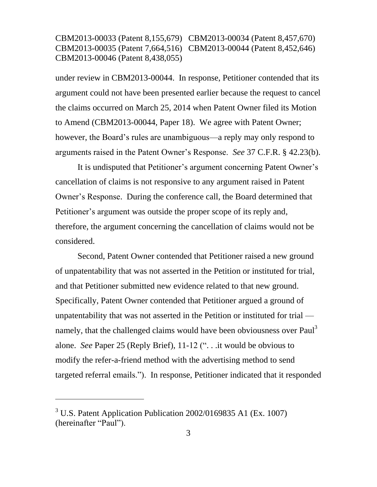under review in CBM2013-00044. In response, Petitioner contended that its argument could not have been presented earlier because the request to cancel the claims occurred on March 25, 2014 when Patent Owner filed its Motion to Amend (CBM2013-00044, Paper 18). We agree with Patent Owner; however, the Board's rules are unambiguous—a reply may only respond to arguments raised in the Patent Owner's Response. *See* 37 C.F.R. § 42.23(b).

It is undisputed that Petitioner's argument concerning Patent Owner's cancellation of claims is not responsive to any argument raised in Patent Owner's Response. During the conference call, the Board determined that Petitioner's argument was outside the proper scope of its reply and, therefore, the argument concerning the cancellation of claims would not be considered.

Second, Patent Owner contended that Petitioner raised a new ground of unpatentability that was not asserted in the Petition or instituted for trial, and that Petitioner submitted new evidence related to that new ground. Specifically, Patent Owner contended that Petitioner argued a ground of unpatentability that was not asserted in the Petition or instituted for trial namely, that the challenged claims would have been obviousness over Paul<sup>3</sup> alone. *See* Paper 25 (Reply Brief), 11-12 (". . .it would be obvious to modify the refer-a-friend method with the advertising method to send targeted referral emails."). In response, Petitioner indicated that it responded

l

 $3$  U.S. Patent Application Publication 2002/0169835 A1 (Ex. 1007) (hereinafter "Paul").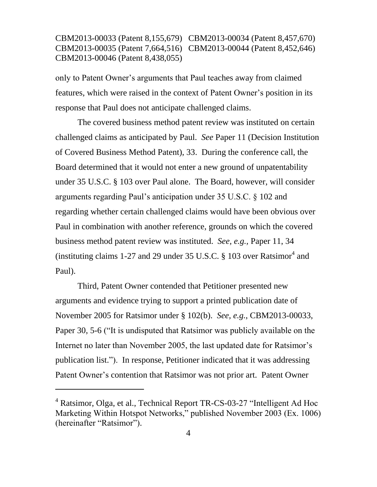only to Patent Owner's arguments that Paul teaches away from claimed features, which were raised in the context of Patent Owner's position in its response that Paul does not anticipate challenged claims.

The covered business method patent review was instituted on certain challenged claims as anticipated by Paul. *See* Paper 11 (Decision Institution of Covered Business Method Patent), 33. During the conference call, the Board determined that it would not enter a new ground of unpatentability under 35 U.S.C. § 103 over Paul alone. The Board, however, will consider arguments regarding Paul's anticipation under 35 U.S.C. § 102 and regarding whether certain challenged claims would have been obvious over Paul in combination with another reference, grounds on which the covered business method patent review was instituted. *See, e.g.,* Paper 11, 34 (instituting claims 1-27 and 29 under 35 U.S.C.  $\S$  103 over Ratsimor<sup>4</sup> and Paul).

Third, Patent Owner contended that Petitioner presented new arguments and evidence trying to support a printed publication date of November 2005 for Ratsimor under § 102(b). *See, e.g.*, CBM2013-00033, Paper 30, 5-6 ("It is undisputed that Ratsimor was publicly available on the Internet no later than November 2005, the last updated date for Ratsimor's publication list."). In response, Petitioner indicated that it was addressing Patent Owner's contention that Ratsimor was not prior art. Patent Owner

l

<sup>&</sup>lt;sup>4</sup> Ratsimor, Olga, et al., Technical Report TR-CS-03-27 "Intelligent Ad Hoc Marketing Within Hotspot Networks," published November 2003 (Ex. 1006) (hereinafter "Ratsimor").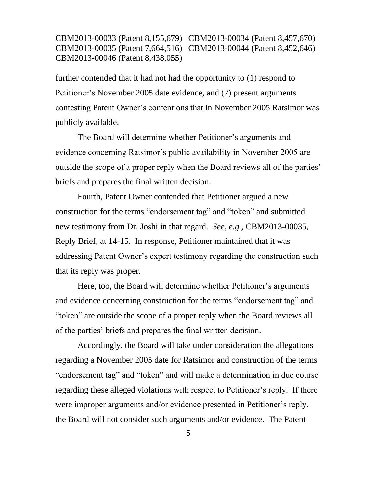further contended that it had not had the opportunity to (1) respond to Petitioner's November 2005 date evidence, and (2) present arguments contesting Patent Owner's contentions that in November 2005 Ratsimor was publicly available.

The Board will determine whether Petitioner's arguments and evidence concerning Ratsimor's public availability in November 2005 are outside the scope of a proper reply when the Board reviews all of the parties' briefs and prepares the final written decision.

Fourth, Patent Owner contended that Petitioner argued a new construction for the terms "endorsement tag" and "token" and submitted new testimony from Dr. Joshi in that regard. *See, e.g.,* CBM2013-00035, Reply Brief, at 14-15. In response, Petitioner maintained that it was addressing Patent Owner's expert testimony regarding the construction such that its reply was proper.

Here, too, the Board will determine whether Petitioner's arguments and evidence concerning construction for the terms "endorsement tag" and "token" are outside the scope of a proper reply when the Board reviews all of the parties' briefs and prepares the final written decision.

Accordingly, the Board will take under consideration the allegations regarding a November 2005 date for Ratsimor and construction of the terms "endorsement tag" and "token" and will make a determination in due course regarding these alleged violations with respect to Petitioner's reply. If there were improper arguments and/or evidence presented in Petitioner's reply, the Board will not consider such arguments and/or evidence. The Patent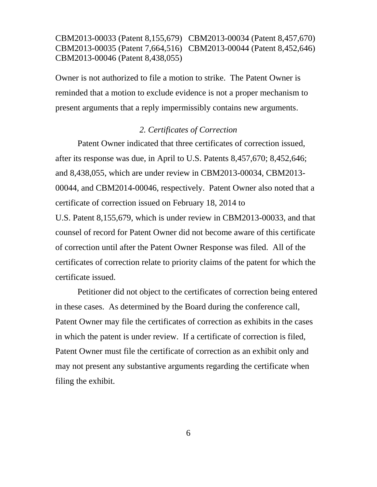Owner is not authorized to file a motion to strike. The Patent Owner is reminded that a motion to exclude evidence is not a proper mechanism to present arguments that a reply impermissibly contains new arguments.

### *2. Certificates of Correction*

Patent Owner indicated that three certificates of correction issued, after its response was due, in April to U.S. Patents 8,457,670; 8,452,646; and 8,438,055, which are under review in CBM2013-00034, CBM2013- 00044, and CBM2014-00046, respectively. Patent Owner also noted that a certificate of correction issued on February 18, 2014 to

U.S. Patent 8,155,679, which is under review in CBM2013-00033, and that counsel of record for Patent Owner did not become aware of this certificate of correction until after the Patent Owner Response was filed. All of the certificates of correction relate to priority claims of the patent for which the certificate issued.

Petitioner did not object to the certificates of correction being entered in these cases. As determined by the Board during the conference call, Patent Owner may file the certificates of correction as exhibits in the cases in which the patent is under review. If a certificate of correction is filed, Patent Owner must file the certificate of correction as an exhibit only and may not present any substantive arguments regarding the certificate when filing the exhibit.

6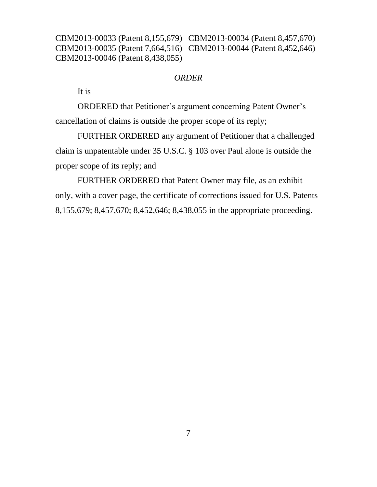#### *ORDER*

It is

ORDERED that Petitioner's argument concerning Patent Owner's cancellation of claims is outside the proper scope of its reply;

FURTHER ORDERED any argument of Petitioner that a challenged claim is unpatentable under 35 U.S.C. § 103 over Paul alone is outside the proper scope of its reply; and

FURTHER ORDERED that Patent Owner may file, as an exhibit only, with a cover page, the certificate of corrections issued for U.S. Patents 8,155,679; 8,457,670; 8,452,646; 8,438,055 in the appropriate proceeding.